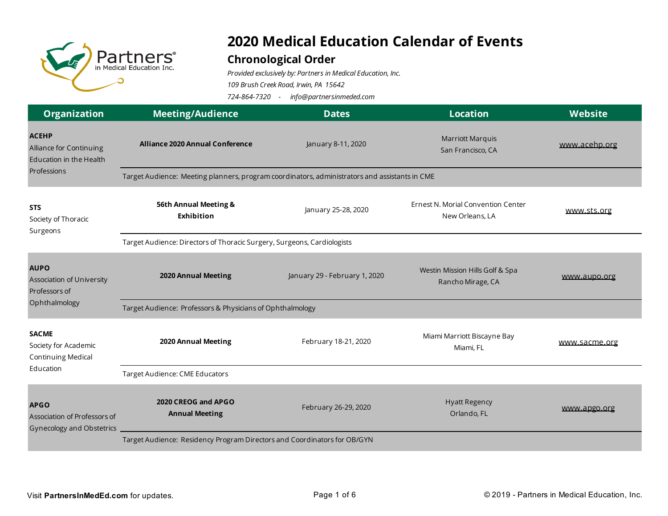

## **2020 Medical Education Calendar of Events**

## **Chronological Order**

*Provided exclusively by: Partners in Medical Education, Inc.*

*109 Brush Creek Road, Irwin, PA 15642*

*724-864-7320 - info@partnersinmeded.com*

| <b>Organization</b>                                                               | <b>Meeting/Audience</b>                                                                       | <b>Dates</b>                  | <b>Location</b>                                       | Website       |  |
|-----------------------------------------------------------------------------------|-----------------------------------------------------------------------------------------------|-------------------------------|-------------------------------------------------------|---------------|--|
| <b>ACEHP</b><br>Alliance for Continuing<br>Education in the Health<br>Professions | <b>Alliance 2020 Annual Conference</b>                                                        | January 8-11, 2020            | Marriott Marquis<br>San Francisco, CA                 | www.acehp.org |  |
|                                                                                   | Target Audience: Meeting planners, program coordinators, administrators and assistants in CME |                               |                                                       |               |  |
| <b>STS</b><br>Society of Thoracic<br>Surgeons                                     | 56th Annual Meeting &<br>Exhibition                                                           | January 25-28, 2020           | Ernest N. Morial Convention Center<br>New Orleans, LA | www.sts.org   |  |
|                                                                                   | Target Audience: Directors of Thoracic Surgery, Surgeons, Cardiologists                       |                               |                                                       |               |  |
| <b>AUPO</b><br>Association of University<br>Professors of                         | 2020 Annual Meeting                                                                           | January 29 - February 1, 2020 | Westin Mission Hills Golf & Spa<br>Rancho Mirage, CA  | www.aupo.org  |  |
| Ophthalmology                                                                     | Target Audience: Professors & Physicians of Ophthalmology                                     |                               |                                                       |               |  |
| <b>SACME</b><br>Society for Academic<br><b>Continuing Medical</b><br>Education    | 2020 Annual Meeting                                                                           | February 18-21, 2020          | Miami Marriott Biscayne Bay<br>Miami, FL              | www.sacme.org |  |
|                                                                                   | Target Audience: CME Educators                                                                |                               |                                                       |               |  |
| <b>APGO</b><br>Association of Professors of<br><b>Gynecology and Obstetrics</b>   | 2020 CREOG and APGO<br><b>Annual Meeting</b>                                                  | February 26-29, 2020          | <b>Hyatt Regency</b><br>Orlando, FL                   | www.apgo.org  |  |
|                                                                                   | Target Audience: Residency Program Directors and Coordinators for OB/GYN                      |                               |                                                       |               |  |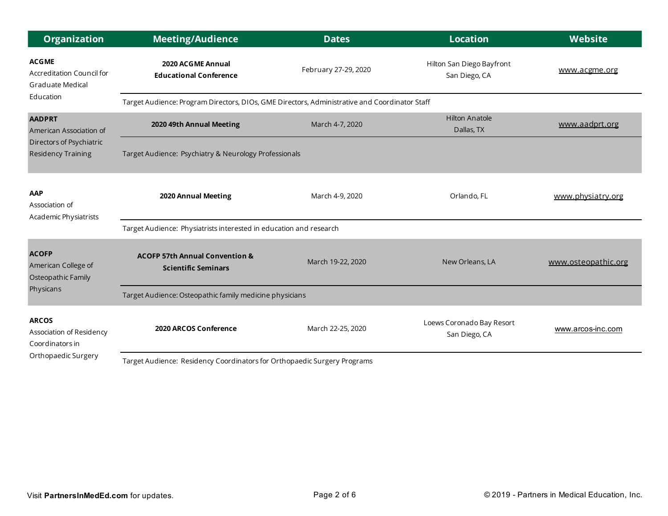| <b>Organization</b>                                                                               | <b>Meeting/Audience</b>                                                                       | <b>Dates</b>         | <b>Location</b>                            | <b>Website</b>      |
|---------------------------------------------------------------------------------------------------|-----------------------------------------------------------------------------------------------|----------------------|--------------------------------------------|---------------------|
| <b>ACGME</b><br>Accreditation Council for<br><b>Graduate Medical</b><br>Education                 | 2020 ACGME Annual<br><b>Educational Conference</b>                                            | February 27-29, 2020 | Hilton San Diego Bayfront<br>San Diego, CA | www.acgme.org       |
|                                                                                                   | Target Audience: Program Directors, DIOs, GME Directors, Administrative and Coordinator Staff |                      |                                            |                     |
| <b>AADPRT</b><br>American Association of<br>Directors of Psychiatric<br><b>Residency Training</b> | 2020 49th Annual Meeting                                                                      | March 4-7, 2020      | <b>Hilton Anatole</b><br>Dallas, TX        | www.aadprt.org      |
|                                                                                                   | Target Audience: Psychiatry & Neurology Professionals                                         |                      |                                            |                     |
| AAP<br>Association of<br>Academic Physiatrists                                                    | 2020 Annual Meeting                                                                           | March 4-9, 2020      | Orlando, FL                                | www.physiatry.org   |
|                                                                                                   | Target Audience: Physiatrists interested in education and research                            |                      |                                            |                     |
| <b>ACOFP</b><br>American College of<br>Osteopathic Family<br>Physicans                            | <b>ACOFP 57th Annual Convention &amp;</b><br><b>Scientific Seminars</b>                       | March 19-22, 2020    | New Orleans, LA                            | www.osteopathic.org |
|                                                                                                   | Target Audience: Osteopathic family medicine physicians                                       |                      |                                            |                     |
| <b>ARCOS</b><br>Association of Residency<br>Coordinators in<br>Orthopaedic Surgery                | 2020 ARCOS Conference                                                                         | March 22-25, 2020    | Loews Coronado Bay Resort<br>San Diego, CA | www.arcos-inc.com   |
|                                                                                                   | Target Audience: Residency Coordinators for Orthopaedic Surgery Programs                      |                      |                                            |                     |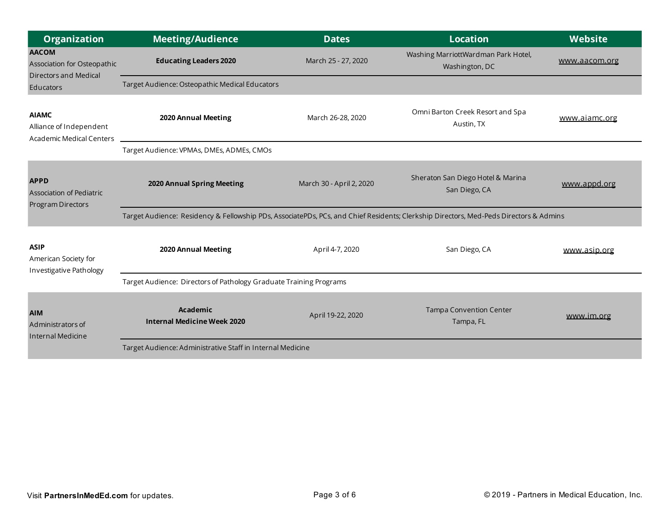| <b>Organization</b>                                                                      | <b>Meeting/Audience</b>                                                                                                               | <b>Dates</b>             | <b>Location</b>                                       | Website       |
|------------------------------------------------------------------------------------------|---------------------------------------------------------------------------------------------------------------------------------------|--------------------------|-------------------------------------------------------|---------------|
| <b>AACOM</b><br>Association for Osteopathic<br><b>Directors and Medical</b><br>Educators | <b>Educating Leaders 2020</b>                                                                                                         | March 25 - 27, 2020      | Washing MarriottWardman Park Hotel,<br>Washington, DC | www.aacom.org |
|                                                                                          | Target Audience: Osteopathic Medical Educators                                                                                        |                          |                                                       |               |
| <b>AIAMC</b><br>Alliance of Independent<br><b>Academic Medical Centers</b>               | 2020 Annual Meeting                                                                                                                   | March 26-28, 2020        | Omni Barton Creek Resort and Spa<br>Austin, TX        | www.aiamc.org |
|                                                                                          | Target Audience: VPMAs, DMEs, ADMEs, CMOs                                                                                             |                          |                                                       |               |
| <b>APPD</b><br>Association of Pediatric<br>Program Directors                             | 2020 Annual Spring Meeting                                                                                                            | March 30 - April 2, 2020 | Sheraton San Diego Hotel & Marina<br>San Diego, CA    | www.appd.org  |
|                                                                                          | Target Audience: Residency & Fellowship PDs, AssociatePDs, PCs, and Chief Residents; Clerkship Directors, Med-Peds Directors & Admins |                          |                                                       |               |
| <b>ASIP</b><br>American Society for<br>Investigative Pathology                           | 2020 Annual Meeting                                                                                                                   | April 4-7, 2020          | San Diego, CA                                         | www.asip.org  |
|                                                                                          | Target Audience: Directors of Pathology Graduate Training Programs                                                                    |                          |                                                       |               |
| <b>AIM</b><br>Administrators of<br>Internal Medicine                                     | Academic<br><b>Internal Medicine Week 2020</b>                                                                                        | April 19-22, 2020        | <b>Tampa Convention Center</b><br>Tampa, FL           | www.im.org    |
|                                                                                          | Target Audience: Administrative Staff in Internal Medicine                                                                            |                          |                                                       |               |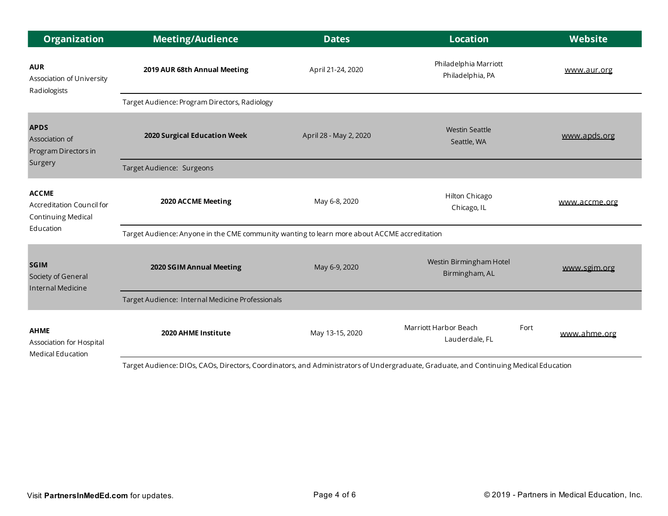| <b>Organization</b>                                                    | <b>Meeting/Audience</b>                                                                      | <b>Dates</b>           | <b>Location</b>                                 | Website       |  |
|------------------------------------------------------------------------|----------------------------------------------------------------------------------------------|------------------------|-------------------------------------------------|---------------|--|
| <b>AUR</b><br>Association of University<br>Radiologists                | 2019 AUR 68th Annual Meeting                                                                 | April 21-24, 2020      | Philadelphia Marriott<br>Philadelphia, PA       | www.aur.org   |  |
|                                                                        | Target Audience: Program Directors, Radiology                                                |                        |                                                 |               |  |
| <b>APDS</b><br>Association of<br>Program Directors in                  | 2020 Surgical Education Week                                                                 | April 28 - May 2, 2020 | <b>Westin Seattle</b><br>Seattle, WA            | www.apds.org  |  |
| Surgery                                                                | Target Audience: Surgeons                                                                    |                        |                                                 |               |  |
| <b>ACCME</b><br>Accreditation Council for<br><b>Continuing Medical</b> | 2020 ACCME Meeting                                                                           | May 6-8, 2020          | Hilton Chicago<br>Chicago, IL                   | www.accme.org |  |
| Education                                                              | Target Audience: Anyone in the CME community wanting to learn more about ACCME accreditation |                        |                                                 |               |  |
| <b>SGIM</b><br>Society of General<br><b>Internal Medicine</b>          | 2020 SGIM Annual Meeting                                                                     | May 6-9, 2020          | Westin Birmingham Hotel<br>Birmingham, AL       | www.sgim.org  |  |
|                                                                        | Target Audience: Internal Medicine Professionals                                             |                        |                                                 |               |  |
| <b>AHME</b><br>Association for Hospital<br>Medical Education           | 2020 AHME Institute                                                                          | May 13-15, 2020        | Marriott Harbor Beach<br>Fort<br>Lauderdale, FL | www.ahme.org  |  |

Target Audience: DIOs, CAOs, Directors, Coordinators, and Administrators of Undergraduate, Graduate, and Continuing Medical Education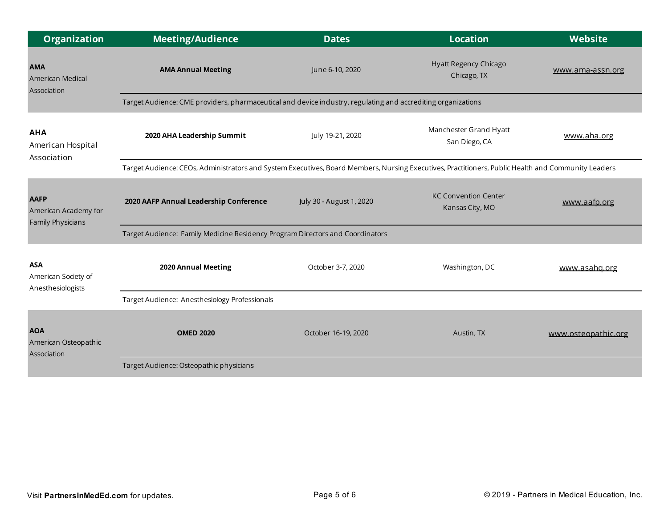| <b>Organization</b>                                      | <b>Meeting/Audience</b>                                                                                                                            | <b>Dates</b>             | <b>Location</b>                                | <b>Website</b>      |  |
|----------------------------------------------------------|----------------------------------------------------------------------------------------------------------------------------------------------------|--------------------------|------------------------------------------------|---------------------|--|
| <b>AMA</b><br>American Medical<br>Association            | <b>AMA Annual Meeting</b>                                                                                                                          | June 6-10, 2020          | Hyatt Regency Chicago<br>Chicago, TX           | www.ama-assn.org    |  |
|                                                          | Target Audience: CME providers, pharmaceutical and device industry, regulating and accrediting organizations                                       |                          |                                                |                     |  |
| <b>AHA</b><br>American Hospital<br>Association           | 2020 AHA Leadership Summit                                                                                                                         | July 19-21, 2020         | Manchester Grand Hyatt<br>San Diego, CA        | www.aha.org         |  |
|                                                          | Target Audience: CEOs, Administrators and System Executives, Board Members, Nursing Executives, Practitioners, Public Health and Community Leaders |                          |                                                |                     |  |
| <b>AAFP</b><br>American Academy for<br>Family Physicians | 2020 AAFP Annual Leadership Conference                                                                                                             | July 30 - August 1, 2020 | <b>KC Convention Center</b><br>Kansas City, MO | www.aafp.org        |  |
|                                                          | Target Audience: Family Medicine Residency Program Directors and Coordinators                                                                      |                          |                                                |                     |  |
| <b>ASA</b><br>American Society of<br>Anesthesiologists   | 2020 Annual Meeting                                                                                                                                | October 3-7, 2020        | Washington, DC                                 | www.asahg.org       |  |
|                                                          | Target Audience: Anesthesiology Professionals                                                                                                      |                          |                                                |                     |  |
| <b>AOA</b><br>American Osteopathic<br>Association        | <b>OMED 2020</b>                                                                                                                                   | October 16-19, 2020      | Austin, TX                                     | www.osteopathic.org |  |
|                                                          | Target Audience: Osteopathic physicians                                                                                                            |                          |                                                |                     |  |